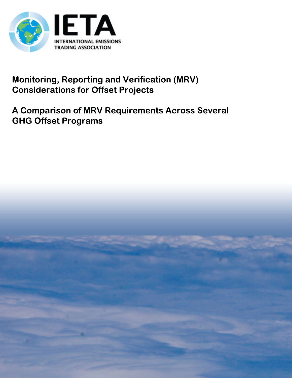

## **Monitoring, Reporting and Verification (MRV) Considerations for Offset Projects**

# A Comparison of MRV Requirements Across Several **GHG Offset Programs**

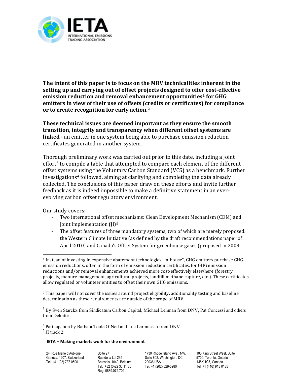

The intent of this paper is to focus on the MRV technicalities inherent in the setting up and carrying out of offset projects designed to offer cost-effective emission reduction and removal enhancement opportunities<sup>1</sup> for GHG emitters in view of their use of offsets (credits or certificates) for compliance or to create recognition for early action.<sup>2</sup>

These technical issues are deemed important as they ensure the smooth transition, integrity and transparency when different offset systems are linked - an emitter in one system being able to purchase emission reduction certificates generated in another system.

Thorough preliminary work was carried out prior to this date, including a joint effort<sup>3</sup> to compile a table that attempted to compare each element of the different offset systems using the Voluntary Carbon Standard (VCS) as a benchmark. Further investigations<sup>4</sup> followed, aiming at clarifying and completing the data already collected. The conclusions of this paper draw on these efforts and invite further feedback as it is indeed impossible to make a definitive statement in an everevolving carbon offset regulatory environment.

Our study covers:

- Two international offset mechanisms: Clean Development Mechanism (CDM) and Joint Implementation  $[|]$ <sup>5</sup>
- The offset features of three mandatory systems, two of which are merely proposed: the Western Climate Initiative (as defined by the draft recommendations paper of April 2010) and Canada's Offset System for greenhouse gases (proposed in 2008

<sup>2</sup> This paper will not cover the issues around project eligibility, additionality testing and baseline determination as these requirements are outside of the scope of MRV.

<sup>3</sup> By Sven Starckx from Sindicatum Carbon Capital, Michael Lehman from DNV, Pat Concessi and others from Deloitte

<sup>4</sup> Participation by Barbara Toole O'Neil and Luc Larmuseau from DNV  $<sup>5</sup>$  JI track 2</sup>

#### IETA - Making markets work for the environment

24, Rue Merle d'Aubigné Geneva, 1207, Switzerland Tel: +41 (22) 737 0500

Roite 27 Rue de la Loi 235 Brussels, 1040. Belaium Tel: +32 (0) 22 30 11 60 Reg. 0889.072.702

1730 Rhode Island Ave., NW, Suite 802, Washington, DC 20036 USA Tel: +1 (202) 629-5980

100 King Street West, Suite 5700, Toronto, Ontario M5X 1C7. Canada Tel. +1 (416) 913 0135

<sup>&</sup>lt;sup>1</sup> Instead of investing in expensive abatement technologies "in-house", GHG emitters purchase GHG emission reductions, often in the form of emission reduction certificates, for GHG emission reductions and/or removal enhancements achieved more cost-effectively elsewhere (forestry projects, manure management, agricultural projects, landfill methane capture, etc.). These certificates allow regulated or volunteer entities to offset their own GHG emissions.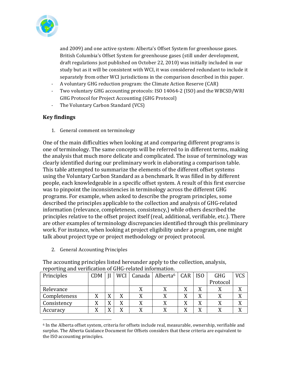

and 2009) and one active system: Alberta's Offset System for greenhouse gases. British Columbia's Offset System for greenhouse gases (still under development, draft regulations just published on October 22, 2010) was initially included in our study but as it will be consistent with WCI, it was considered redundant to include it separately from other WCI jurisdictions in the comparison described in this paper.

- A voluntary GHG reduction program: the Climate Action Reserve (CAR)  $\omega_{\rm{eff}}$
- Two voluntary GHG accounting protocols: ISO 14064-2 (ISO) and the WBCSD/WRI GHG Protocol for Project Accounting (GHG Protocol)
- The Voluntary Carbon Standard (VCS)  $\omega_{\rm c}$

## **Key findings**

1. General comment on terminology

One of the main difficulties when looking at and comparing different programs is one of terminology. The same concepts will be referred to in different terms, making the analysis that much more delicate and complicated. The issue of terminology was clearly identified during our preliminary work in elaborating a comparison table. This table attempted to summarize the elements of the different offset systems using the Voluntary Carbon Standard as a benchmark. It was filled in by different people, each knowledgeable in a specific offset system. A result of this first exercise was to pinpoint the inconsistencies in terminology across the different GHG programs. For example, when asked to describe the program principles, some described the principles applicable to the collection and analysis of GHG-related information (relevance, completeness, consistency,) while others described the principles relative to the offset project itself (real, additional, verifiable, etc.). There are other examples of terminology discrepancies identified through this preliminary work. For instance, when looking at project eligibility under a program, one might talk about project type or project methodology or project protocol.

2. General Accounting Principles

The accounting principles listed hereunder apply to the collection, analysis, reporting and verification of GHG-related information.

| Principles   | <b>CDM</b> |                             | <b>WCI</b> |   | Canada   Alberta <sup>6</sup> | CAR    | IS <sub>0</sub> | <b>GHG</b> | VCS       |
|--------------|------------|-----------------------------|------------|---|-------------------------------|--------|-----------------|------------|-----------|
|              |            |                             |            |   |                               |        |                 | Protocol   |           |
| Relevance    |            |                             |            |   |                               | v<br>Λ | Λ               |            |           |
| Completeness | л          | $\overline{r}$              |            |   |                               | v<br>л | v<br>Λ          |            | XT.       |
| Consistency  | л          | $\overline{V}$<br>$\Lambda$ |            | л |                               | X      | v<br>́          |            | <b>TT</b> |
| Accuracy     | Λ          | $\mathbf{v}$<br>Δ           |            | Λ |                               | X      | Λ               |            |           |

 $6$  In the Alberta offset system, criteria for offsets include real, measurable, ownership, verifiable and surplus. The Alberta Guidance Document for Offsets considers that these criteria are equivalent to the ISO accounting principles.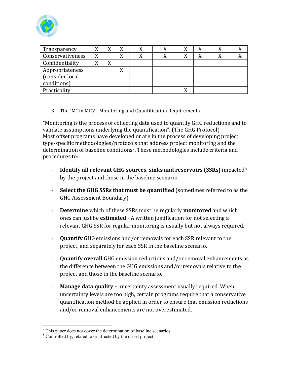

| Transparency                                      |   | v              |  |   |  |  |
|---------------------------------------------------|---|----------------|--|---|--|--|
| Conservativeness                                  | X |                |  | X |  |  |
| Confidentiality                                   | Λ | v<br>$\Lambda$ |  |   |  |  |
| Appropriateness<br>(consider local<br>conditions) |   |                |  |   |  |  |
| Practicality                                      |   |                |  |   |  |  |

3. The "M" in MRV - Monitoring and Quantification Requirements

"Monitoring is the process of collecting data used to quantify GHG reductions and to validate assumptions underlying the quantification". (The GHG Protocol) Most offset programs have developed or are in the process of developing project type-specific methodologies/protocols that address project monitoring and the determination of baseline conditions<sup>7</sup>. These methodologies include criteria and procedures to:

- $\Delta \sim 10^4$ **Identify all relevant GHG sources, sinks and reservoirs (SSRs)** impacted  $8$ by the project and those in the baseline scenario.
- $\omega_{\rm{eff}}$ Select the GHG SSRs that must be quantified (sometimes referred to as the GHG Assessment Boundary).
- Determine which of these SSRs must be regularly monitored and which  $\omega_{\rm{max}}$ ones can just be **estimated** - A written justification for not selecting a relevant GHG SSR for regular monitoring is usually but not always required.
- $\mathcal{L}^{\text{max}}$ **Quantify** GHG emissions and/or removals for each SSR relevant to the project, and separately for each SSR in the baseline scenario.
- **Quantify overall** GHG emission reductions and/or removal enhancements as  $\omega_{\rm{max}}$ the difference between the GHG emissions and/or removals relative to the project and those in the baseline scenario.
- **Manage data quality uncertainty assessment usually required. When** uncertainty levels are too high, certain programs require that a conservative quantification method be applied in order to ensure that emission reductions and/or removal enhancements are not overestimated.

 $\frac{7}{7}$  This paper does not cover the determination of baseline scenarios.

<sup>&</sup>lt;sup>8</sup> Controlled by, related to or affected by the offset project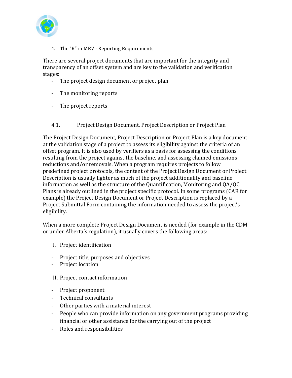

4. The "R" in MRV - Reporting Requirements

There are several project documents that are important for the integrity and transparency of an offset system and are key to the validation and verification stages:

- The project design document or project plan
- The monitoring reports
- The project reports
- $4.1.$ Project Design Document, Project Description or Project Plan

The Project Design Document, Project Description or Project Plan is a key document at the validation stage of a project to assess its eligibility against the criteria of an offset program. It is also used by verifiers as a basis for assessing the conditions resulting from the project against the baseline, and assessing claimed emissions reductions and/or removals. When a program requires projects to follow predefined project protocols, the content of the Project Design Document or Project Description is usually lighter as much of the project additionality and baseline information as well as the structure of the Quantification, Monitoring and QA/QC Plans is already outlined in the project specific protocol. In some programs (CAR for example) the Project Design Document or Project Description is replaced by a Project Submittal Form containing the information needed to assess the project's eligibility.

When a more complete Project Design Document is needed (for example in the CDM or under Alberta's regulation), it usually covers the following areas:

- I. Project identification
- Project title, purposes and objectives
- Project location
- II. Project contact information
- Project proponent
- Technical consultants
- Other parties with a material interest
- People who can provide information on any government programs providing financial or other assistance for the carrying out of the project
- Roles and responsibilities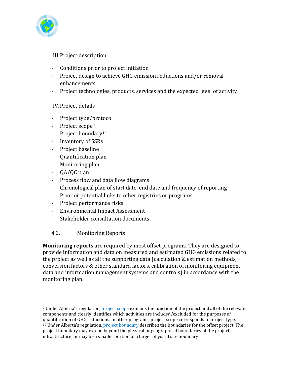

**III.Project description** 

- Conditions prior to project initiation
- Project design to achieve GHG emission reductions and/or removal enhancements
- Project technologies, products, services and the expected level of activity

## IV. Project details

- $\omega_{\rm{eff}}$ Project type/protocol
- Project scope<sup>9</sup>
- Project boundary<sup>10</sup>
- Inventory of SSRs
- Project baseline
- Quantification plan
- Monitoring plan
- $QA/QC$  plan
- Process flow and data flow diagrams
- Chronological plan of start date, end date and frequency of reporting
- Prior or potential links to other registries or programs  $\omega_{\rm{max}}$
- Project performance risks
- Environmental Impact Assessment
- Stakeholder consultation documents  $\omega_{\rm{max}}$

#### $4.2.$ **Monitoring Reports**

**Monitoring reports** are required by most offset programs. They are designed to provide information and data on measured and estimated GHG emissions related to the project as well as all the supporting data (calculation & estimation methods, conversion factors & other standard factors, calibration of monitoring equipment, data and information management systems and controls) in accordance with the monitoring plan.

<sup>&</sup>lt;sup>9</sup> Under Alberta's regulation, project scope explains the function of the project and all of the relevant components and clearly identifies which activities are included/excluded for the purposes of quantification of GHG reductions. In other programs, project scope corresponds to project type. <sup>10</sup> Under Alberta's regulation, project boundary describes the boundaries for the offset project. The project boundary may extend beyond the physical or geographical boundaries of the project's infrastructure, or may be a smaller portion of a larger physical site boundary.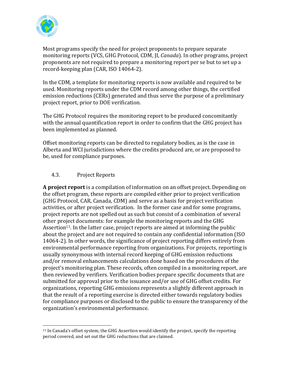

Most programs specify the need for project proponents to prepare separate monitoring reports (VCS, GHG Protocol, CDM, II, *Canada*). In other programs, project proponents are not required to prepare a monitoring report per se but to set up a record-keeping plan (CAR, ISO 14064-2).

In the CDM, a template for monitoring reports is now available and required to be used. Monitoring reports under the CDM record among other things, the certified emission reductions (CERs) generated and thus serve the purpose of a preliminary project report, prior to DOE verification.

The GHG Protocol requires the monitoring report to be produced concomitantly with the annual quantification report in order to confirm that the GHG project has been implemented as planned.

Offset monitoring reports can be directed to regulatory bodies, as is the case in Alberta and WCI jurisdictions where the credits produced are, or are proposed to be, used for compliance purposes.

#### $4.3.$ **Project Reports**

A project report is a compilation of information on an offset project. Depending on the offset program, these reports are compiled either prior to project verification (GHG Protocol, CAR, Canada, CDM) and serve as a basis for project verification activities, or after project verification. In the former case and for some programs, project reports are not spelled out as such but consist of a combination of several other project documents: for example the monitoring reports and the GHG Assertion<sup>11</sup>. In the latter case, project reports are aimed at informing the public about the project and are not required to contain any confidential information (ISO 14064-2). In other words, the significance of project reporting differs entirely from environmental performance reporting from organizations. For projects, reporting is usually synonymous with internal record keeping of GHG emission reductions and/or removal enhancements calculations done based on the procedures of the project's monitoring plan. These records, often compiled in a monitoring report, are then reviewed by verifiers. Verification bodies prepare specific documents that are submitted for approval prior to the issuance and/or use of GHG offset credits. For organizations, reporting GHG emissions represents a slightly different approach in that the result of a reporting exercise is directed either towards regulatory bodies for compliance purposes or disclosed to the public to ensure the transparency of the organization's environmental performance.

<sup>&</sup>lt;sup>11</sup> In Canada's offset system, the GHG Assertion would identify the project, specify the reporting period covered, and set out the GHG reductions that are claimed.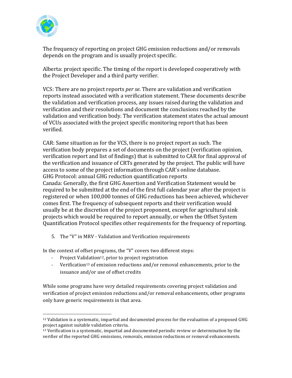

The frequency of reporting on project GHG emission reductions and/or removals depends on the program and is usually project specific.

Alberta: project specific. The timing of the report is developed cooperatively with the Project Developer and a third party verifier.

VCS: There are no project reports *per se*. There are validation and verification reports instead associated with a verification statement. These documents describe the validation and verification process, any issues raised during the validation and verification and their resolutions and document the conclusions reached by the validation and verification body. The verification statement states the actual amount of VCUs associated with the project specific monitoring report that has been verified.

CAR: Same situation as for the VCS, there is no project report as such. The verification body prepares a set of documents on the project (verification opinion, verification report and list of findings) that is submitted to CAR for final approval of the verification and issuance of CRTs generated by the project. The public will have access to some of the project information through CAR's online database. GHG Protocol: annual GHG reduction quantification reports Canada: Generally, the first GHG Assertion and Verification Statement would be required to be submitted at the end of the first full calendar year after the project is registered or when 100,000 tonnes of GHG reductions has been achieved, whichever comes first. The frequency of subsequent reports and their verification would usually be at the discretion of the project proponent, except for agricultural sink projects which would be required to report annually, or when the Offset System Quantification Protocol specifies other requirements for the frequency of reporting.

5. The "V" in MRV - Validation and Verification requirements

In the context of offset programs, the "V" covers two different steps:

- Project Validation<sup>12</sup>, prior to project registration
- Verification<sup>13</sup> of emission reductions and/or removal enhancements, prior to the issuance and/or use of offset credits

While some programs have very detailed requirements covering project validation and verification of project emission reductions and/or removal enhancements, other programs only have generic requirements in that area.

 $12$  Validation is a systematic, impartial and documented process for the evaluation of a proposed GHG project against suitable validation criteria.

 $^{13}$  Verification is a systematic, impartial and documented periodic review or determination by the verifier of the reported GHG emissions, removals, emission reductions or removal enhancements.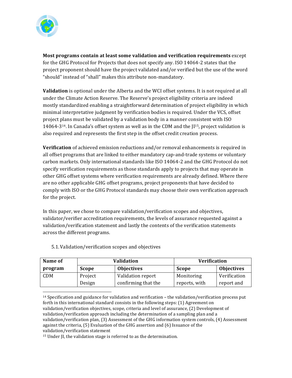

Most programs contain at least some validation and verification requirements except for the GHG Protocol for Projects that does not specify any. ISO 14064-2 states that the project proponent should have the project validated and/or verified but the use of the word "should" instead of "shall" makes this attribute non-mandatory.

Validation is optional under the Alberta and the WCI offset systems. It is not required at all under the Climate Action Reserve. The Reserve's project eligibility criteria are indeed mostly standardized enabling a straightforward determination of project eligibility in which minimal interpretative judgment by verification bodies is required. Under the VCS, offset project plans must be validated by a validation body in a manner consistent with ISO  $14064-314$ . In Canada's offset system as well as in the CDM and the  $[I15, project$  validation is also required and represents the first step in the offset credit creation process.

Verification of achieved emission reductions and/or removal enhancements is required in all offset programs that are linked to either mandatory cap-and-trade systems or voluntary carbon markets. Only international standards like ISO 14064-2 and the GHG Protocol do not specify verification requirements as those standards apply to projects that may operate in other GHG offset systems where verification requirements are already defined. Where there are no other applicable GHG offset programs, project proponents that have decided to comply with ISO or the GHG Protocol standards may choose their own verification approach for the project.

In this paper, we chose to compare validation/verification scopes and objectives. validator/verifier accreditation requirements, the levels of assurance requested against a validation/verification statement and lastly the contents of the verification statements across the different programs.

| Name of    |                               | Validation        | <b>Verification</b> |                   |  |  |
|------------|-------------------------------|-------------------|---------------------|-------------------|--|--|
| program    | <b>Objectives</b><br>Scope    |                   | <b>Scope</b>        | <b>Objectives</b> |  |  |
| <b>CDM</b> | Project                       | Validation report | Monitoring          | Verification      |  |  |
|            | confirming that the<br>Design |                   | reports, with       | report and        |  |  |

5.1. Validation/verification scopes and objectives

 $14$  Specification and guidance for validation and verification – the validation/verification process put forth in this international standard consists in the following steps: (1) Agreement on validation/verification objectives, scope, criteria and level of assurance, (2) Development of validation/verification approach including the determination of a sampling plan and a validation/verification plan, (3) Assessment of the GHG information system controls, (4) Assessment against the criteria, (5) Evaluation of the GHG assertion and (6) Issuance of the validation/verification statement

<sup>&</sup>lt;sup>15</sup> Under JI, the validation stage is referred to as the determination.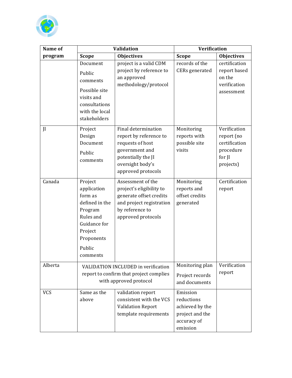

| Name of      |                                                                                                                                            | <b>Validation</b>                                                                                                                                   | <b>Verification</b>                                                                     |                                                                                 |  |  |
|--------------|--------------------------------------------------------------------------------------------------------------------------------------------|-----------------------------------------------------------------------------------------------------------------------------------------------------|-----------------------------------------------------------------------------------------|---------------------------------------------------------------------------------|--|--|
| program      | <b>Scope</b>                                                                                                                               | <b>Objectives</b>                                                                                                                                   | <b>Scope</b>                                                                            | <b>Objectives</b>                                                               |  |  |
|              | Document<br>Public<br>comments<br>Possible site<br>visits and<br>consultations<br>with the local<br>stakeholders                           | project is a valid CDM<br>project by reference to<br>an approved<br>methodology/protocol                                                            | records of the<br>CERs generated                                                        | certification<br>report based<br>on the<br>verification<br>assessment           |  |  |
| $\mathbf{I}$ | Project<br>Design<br>Document<br>Public<br>comments                                                                                        | Final determination<br>report by reference to<br>requests of host<br>government and<br>potentially the JI<br>oversight body's<br>approved protocols | Monitoring<br>reports with<br>possible site<br>visits                                   | Verification<br>report (no<br>certification<br>procedure<br>for JI<br>projects) |  |  |
| Canada       | Project<br>application<br>form as<br>defined in the<br>Program<br>Rules and<br>Guidance for<br>Project<br>Proponents<br>Public<br>comments | Assessment of the<br>project's eligibility to<br>generate offset credits<br>and project registration<br>by reference to<br>approved protocols       | Monitoring<br>reports and<br>offset credits<br>generated                                | Certification<br>report                                                         |  |  |
| Alberta      | VALIDATION INCLUDED in verification<br>report to confirm that project complies<br>with approved protocol                                   |                                                                                                                                                     | Monitoring plan<br>Project records<br>and documents                                     | Verification<br>report                                                          |  |  |
| <b>VCS</b>   | Same as the<br>validation report<br>consistent with the VCS<br>above<br><b>Validation Report</b><br>template requirements                  |                                                                                                                                                     | Emission<br>reductions<br>achieved by the<br>project and the<br>accuracy of<br>emission |                                                                                 |  |  |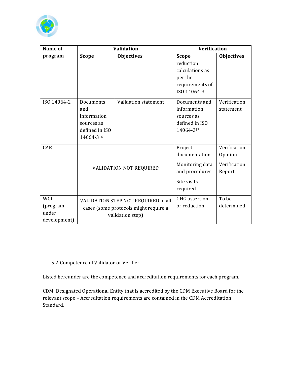

| Name of                                         |                                                                                                  | <b>Validation</b>    | <b>Verification</b>                                                                      |                                                   |  |  |
|-------------------------------------------------|--------------------------------------------------------------------------------------------------|----------------------|------------------------------------------------------------------------------------------|---------------------------------------------------|--|--|
| program                                         | <b>Scope</b>                                                                                     | <b>Objectives</b>    | <b>Scope</b>                                                                             | <b>Objectives</b>                                 |  |  |
|                                                 |                                                                                                  |                      | reduction<br>calculations as<br>per the<br>requirements of<br>ISO 14064-3                |                                                   |  |  |
| ISO 14064-2                                     | Documents<br>and<br>information<br>sources as<br>defined in ISO<br>14064-316                     | Validation statement | Documents and<br>information<br>sources as<br>defined in ISO<br>14064-317                | Verification<br>statement                         |  |  |
| CAR                                             | VALIDATION NOT REQUIRED                                                                          |                      | Project<br>documentation<br>Monitoring data<br>and procedures<br>Site visits<br>required | Verification<br>Opinion<br>Verification<br>Report |  |  |
| <b>WCI</b><br>(program<br>under<br>development) | VALIDATION STEP NOT REQUIRED in all<br>cases (some protocols might require a<br>validation step) |                      | <b>GHG</b> assertion<br>or reduction                                                     | To be<br>determined                               |  |  |

#### 5.2. Competence of Validator or Verifier

Listed hereunder are the competence and accreditation requirements for each program.

CDM: Designated Operational Entity that is accredited by the CDM Executive Board for the relevant scope - Accreditation requirements are contained in the CDM Accreditation Standard.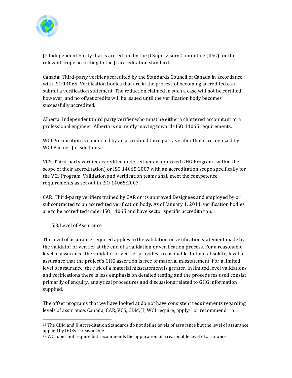

II: Independent Entity that is accredited by the II Supervisory Committee (IISC) for the relevant scope according to the II accreditation standard.

Canada: Third-party verifier accredited by the Standards Council of Canada in accordance with ISO 14065. Verification bodies that are in the process of becoming accredited can submit a verification statement. The reduction claimed in such a case will not be certified, however, and no offset credits will be issued until the verification body becomes successfully accredited.

Alberta: Independent third party verifier who must be either a chartered accountant or a professional engineer. Alberta is currently moving towards ISO 14065 requirements.

WCI: Verification is conducted by an accredited third party verifier that is recognized by WCI Partner Jurisdictions.

VCS: Third-party verifier accredited under either an approved GHG Program (within the scope of their accreditation) or ISO 14065:2007 with an accreditation scope specifically for the VCS Program. Validation and verification teams shall meet the competence requirements as set out in ISO 14065:2007.

CAR: Third-party verifiers trained by CAR or its approved Designees and employed by or subcontracted to an accredited verification body. As of January 1, 2011, verification bodies are to be accredited under ISO 14065 and have sector specific accreditation.

#### 5.3. Level of Assurance

The level of assurance required applies to the validation or verification statement made by the validator or verifier at the end of a validation or verification process. For a reasonable level of assurance, the validator or verifier provides a reasonable, but not absolute, level of assurance that the project's GHG assertion is free of material misstatement. For a limited level of assurance, the risk of a material misstatement is greater. In limited level validations and verifications there is less emphasis on detailed testing and the procedures used consist primarily of enguiry, analytical procedures and discussions related to GHG information supplied.

The offset programs that we have looked at do not have consistent requirements regarding levels of assurance. Canada, CAR, VCS, CDM, JI, WCI require, apply<sup>18</sup> or recommend<sup>19</sup> a

<sup>&</sup>lt;sup>18</sup> The CDM and II Accreditation Standards do not define levels of assurance but the level of assurance applied by DOEs is reasonable.

<sup>&</sup>lt;sup>19</sup> WCI does not require but recommends the application of a reasonable level of assurance.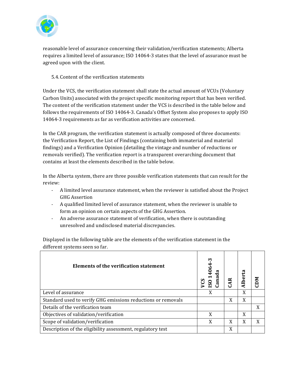

reasonable level of assurance concerning their validation/verification statements; Alberta requires a limited level of assurance; ISO 14064-3 states that the level of assurance must be agreed upon with the client.

#### 5.4. Content of the verification statements

Under the VCS, the verification statement shall state the actual amount of VCUs (Voluntary Carbon Units) associated with the project specific monitoring report that has been verified. The content of the verification statement under the VCS is described in the table below and follows the requirements of ISO 14064-3. Canada's Offset System also proposes to apply ISO 14064-3 requirements as far as verification activities are concerned.

In the CAR program, the verification statement is actually composed of three documents: the Verification Report, the List of Findings (containing both immaterial and material findings) and a Verification Opinion (detailing the vintage and number of reductions or removals verified). The verification report is a transparent overarching document that contains at least the elements described in the table below.

In the Alberta system, there are three possible verification statements that can result for the review:

- A limited level assurance statement, when the reviewer is satisfied about the Project **GHG Assertion**
- A qualified limited level of assurance statement, when the reviewer is unable to form an opinion on certain aspects of the GHG Assertion.
- $\omega_{\rm{max}}$ An adverse assurance statement of verification, when there is outstanding unresolved and undisclosed material discrepancies.

Displayed in the following table are the elements of the verification statement in the different systems seen so far.

| Elements of the verification statement                       | m<br>రి<br>anad<br>$\mathbf{S}$<br><b>SO</b> |   | ន<br>uber | <b>MCD</b> |
|--------------------------------------------------------------|----------------------------------------------|---|-----------|------------|
| Level of assurance                                           | X                                            |   | X         |            |
| Standard used to verify GHG emissions reductions or removals |                                              | X | X         |            |
| Details of the verification team                             |                                              |   |           | X          |
| Objectives of validation/verification                        |                                              |   | X         |            |
| Scope of validation/verification                             | X                                            | X | X         | X          |
| Description of the eligibility assessment, regulatory test   |                                              | X |           |            |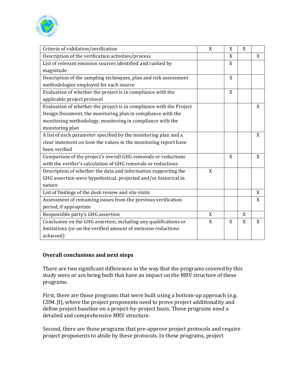

| Criteria of validation/verification                                 | X | X           | X |   |
|---------------------------------------------------------------------|---|-------------|---|---|
| Description of the verification activities/process                  |   | X           |   | X |
| List of relevant emission sources identified and ranked by          |   | X           |   |   |
| magnitude                                                           |   |             |   |   |
| Description of the sampling techniques, plan and risk assessment    |   | X           |   |   |
| methodologies employed for each source                              |   |             |   |   |
| Evaluation of whether the project is in compliance with the         |   | X           |   |   |
| applicable project protocol                                         |   |             |   |   |
| Evaluation of whether the project is in compliance with the Project |   |             |   | X |
| Design Document, the monitoring plan in compliance with the         |   |             |   |   |
| monitoring methodology, monitoring in compliance with the           |   |             |   |   |
| monitoring plan                                                     |   |             |   |   |
| A list of each parameter specified by the monitoring plan and a     |   |             |   | X |
| clear statement on how the values in the monitoring report have     |   |             |   |   |
| been verified                                                       |   |             |   |   |
| Comparison of the project's overall GHG removals or reductions      |   | X           |   | X |
| with the verifier's calculation of GHG removals or reductions       |   |             |   |   |
| Description of whether the data and information supporting the      | X |             |   |   |
| GHG assertion were hypothetical, projected and/or historical in     |   |             |   |   |
| nature                                                              |   |             |   |   |
| List of findings of the desk review and site visits                 |   |             |   | X |
| Assessment of remaining issues from the previous verification       |   |             |   | X |
| period, if appropriate                                              |   |             |   |   |
| Responsible party's GHG assertion                                   | X |             | X |   |
| Conclusion on the GHG assertion, including any qualifications or    | X | $\mathbf X$ | X | X |
| limitations (or on the verified amount of emission reductions       |   |             |   |   |
| achieved)                                                           |   |             |   |   |

#### Overall conclusions and next steps

There are two significant differences in the way that the programs covered by this study were or are being built that have an impact on the MRV structure of these programs.

First, there are those programs that were built using a bottom-up approach (e.g. CDM. II), where the project proponents need to prove project additionality and define project baseline on a project-by-project basis. These programs need a detailed and comprehensive MRV structure.

Second, there are those programs that pre-approve project protocols and require project proponents to abide by these protocols. In these programs, project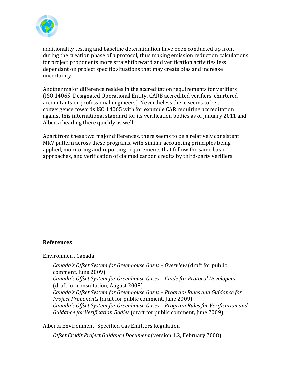

additionality testing and baseline determination have been conducted up front during the creation phase of a protocol, thus making emission reduction calculations for project proponents more straightforward and verification activities less dependant on project specific situations that may create bias and increase uncertainty.

Another major difference resides in the accreditation requirements for verifiers (ISO 14065, Designated Operational Entity, CARB accredited verifiers, chartered accountants or professional engineers). Nevertheless there seems to be a convergence towards ISO 14065 with for example CAR requiring accreditation against this international standard for its verification bodies as of January 2011 and Alberta heading there quickly as well.

Apart from these two major differences, there seems to be a relatively consistent MRV pattern across these programs, with similar accounting principles being applied, monitoring and reporting requirements that follow the same basic approaches, and verification of claimed carbon credits by third-party verifiers.

#### **References**

Environment Canada

Canada's Offset System for Greenhouse Gases - Overview (draft for public comment, June 2009) Canada's Offset System for Greenhouse Gases - Guide for Protocol Developers (draft for consultation, August 2008) Canada's Offset System for Greenhouse Gases - Program Rules and Guidance for *Project Proponents* (draft for public comment, June 2009) Canada's Offset System for Greenhouse Gases - Program Rules for Verification and Guidance for Verification Bodies (draft for public comment, June 2009)

Alberta Environment- Specified Gas Emitters Regulation

Offset Credit Project Guidance Document (version 1.2, February 2008)